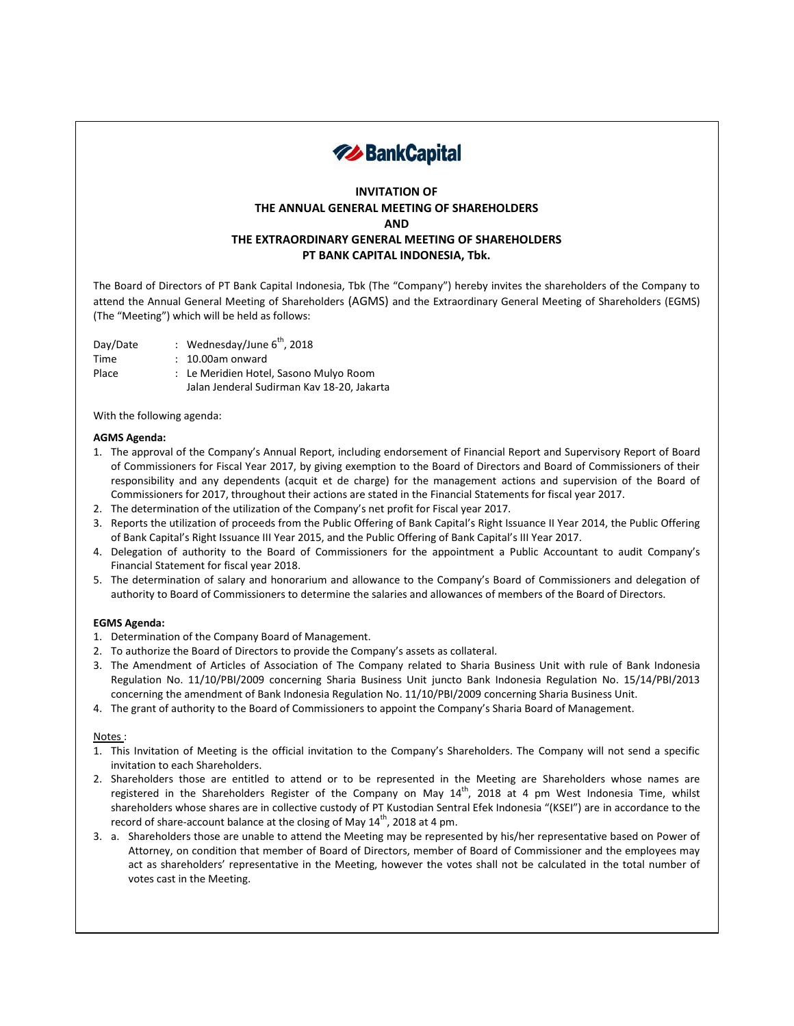

# **INVITATION OF THE ANNUAL GENERAL MEETING OF SHAREHOLDERS AND THE EXTRAORDINARY GENERAL MEETING OF SHAREHOLDERS PT BANK CAPITAL INDONESIA, Tbk.**

The Board of Directors of PT Bank Capital Indonesia, Tbk (The "Company") hereby invites the shareholders of the Company to attend the Annual General Meeting of Shareholders (AGMS) and the Extraordinary General Meeting of Shareholders (EGMS) (The "Meeting") which will be held as follows:

Day/Date : Wednesday/June 6<sup>th</sup>, 2018

- Time : 10.00am onward
- Place : Le Meridien Hotel, Sasono Mulyo Room
	- Jalan Jenderal Sudirman Kav 18-20, Jakarta

With the following agenda:

### **AGMS Agenda:**

- 1. The approval of the Company's Annual Report, including endorsement of Financial Report and Supervisory Report of Board of Commissioners for Fiscal Year 2017, by giving exemption to the Board of Directors and Board of Commissioners of their responsibility and any dependents (acquit et de charge) for the management actions and supervision of the Board of Commissioners for 2017, throughout their actions are stated in the Financial Statements for fiscal year 2017.
- 2. The determination of the utilization of the Company's net profit for Fiscal year 2017.
- 3. Reports the utilization of proceeds from the Public Offering of Bank Capital's Right Issuance II Year 2014, the Public Offering of Bank Capital's Right Issuance III Year 2015, and the Public Offering of Bank Capital's III Year 2017.
- 4. Delegation of authority to the Board of Commissioners for the appointment a Public Accountant to audit Company's Financial Statement for fiscal year 2018.
- 5. The determination of salary and honorarium and allowance to the Company's Board of Commissioners and delegation of authority to Board of Commissioners to determine the salaries and allowances of members of the Board of Directors.

### **EGMS Agenda:**

- 1. Determination of the Company Board of Management.
- 2. To authorize the Board of Directors to provide the Company's assets as collateral.
- 3. The Amendment of Articles of Association of The Company related to Sharia Business Unit with rule of Bank Indonesia Regulation No. 11/10/PBI/2009 concerning Sharia Business Unit juncto Bank Indonesia Regulation No. 15/14/PBI/2013 concerning the amendment of Bank Indonesia Regulation No. 11/10/PBI/2009 concerning Sharia Business Unit.
- 4. The grant of authority to the Board of Commissioners to appoint the Company's Sharia Board of Management.

### Notes :

- 1. This Invitation of Meeting is the official invitation to the Company's Shareholders. The Company will not send a specific invitation to each Shareholders.
- 2. Shareholders those are entitled to attend or to be represented in the Meeting are Shareholders whose names are registered in the Shareholders Register of the Company on May  $14^{\text{th}}$ , 2018 at 4 pm West Indonesia Time, whilst shareholders whose shares are in collective custody of PT Kustodian Sentral Efek Indonesia "(KSEI") are in accordance to the record of share-account balance at the closing of May 14<sup>th</sup>, 2018 at 4 pm.
- 3. a. Shareholders those are unable to attend the Meeting may be represented by his/her representative based on Power of Attorney, on condition that member of Board of Directors, member of Board of Commissioner and the employees may act as shareholders' representative in the Meeting, however the votes shall not be calculated in the total number of votes cast in the Meeting.